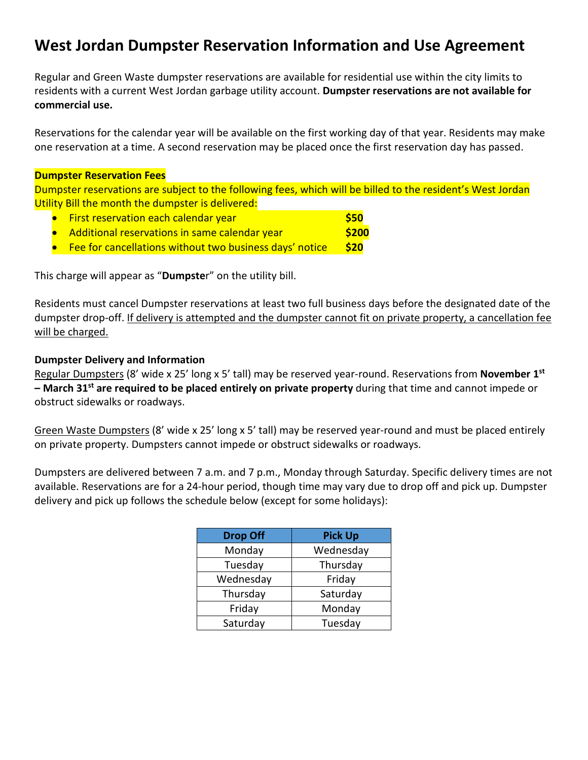## **West Jordan Dumpster Reservation Information and Use Agreement**

Regular and Green Waste dumpster reservations are available for residential use within the city limits to residents with a current West Jordan garbage utility account. **Dumpster reservations are not available for commercial use.** 

Reservations for the calendar year will be available on the first working day of that year. Residents may make one reservation at a time. A second reservation may be placed once the first reservation day has passed.

## **Dumpster Reservation Fees**

Dumpster reservations are subject to the following fees, which will be billed to the resident's West Jordan Utility Bill the month the dumpster is delivered:

- **•** First reservation each calendar year **\$50** • Additional reservations in same calendar year **\$200**
- Fee for cancellations without two business days' notice **\$20**

This charge will appear as "**Dumpste**r" on the utility bill.

Residents must cancel Dumpster reservations at least two full business days before the designated date of the dumpster drop-off. If delivery is attempted and the dumpster cannot fit on private property, a cancellation fee will be charged.

## **Dumpster Delivery and Information**

Regular Dumpsters (8' wide x 25' long x 5' tall) may be reserved year-round. Reservations from **November 1st – March 31st are required to be placed entirely on private property** during that time and cannot impede or obstruct sidewalks or roadways.

Green Waste Dumpsters (8' wide x 25' long x 5' tall) may be reserved year-round and must be placed entirely on private property. Dumpsters cannot impede or obstruct sidewalks or roadways.

Dumpsters are delivered between 7 a.m. and 7 p.m., Monday through Saturday. Specific delivery times are not available. Reservations are for a 24-hour period, though time may vary due to drop off and pick up. Dumpster delivery and pick up follows the schedule below (except for some holidays):

| <b>Drop Off</b> | <b>Pick Up</b> |
|-----------------|----------------|
| Monday          | Wednesday      |
| Tuesday         | Thursday       |
| Wednesday       | Friday         |
| Thursday        | Saturday       |
| Friday          | Monday         |
| Saturday        | Tuesday        |